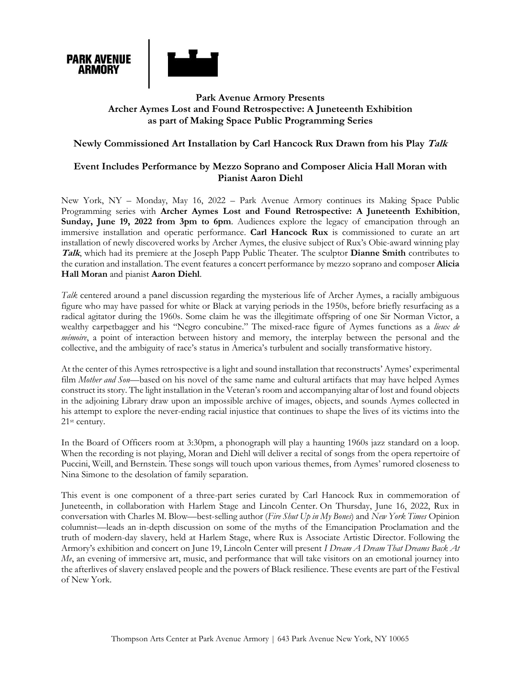

# **Park Avenue Armory Presents Archer Aymes Lost and Found Retrospective: A Juneteenth Exhibition as part of Making Space Public Programming Series**

## **Newly Commissioned Art Installation by Carl Hancock Rux Drawn from his Play Talk**

# **Event Includes Performance by Mezzo Soprano and Composer Alicia Hall Moran with Pianist Aaron Diehl**

New York, NY – Monday, May 16, 2022 – Park Avenue Armory continues its Making Space Public Programming series with **Archer Aymes Lost and Found Retrospective: A Juneteenth Exhibition**, **Sunday, June 19, 2022 from 3pm to 6pm**. Audiences explore the legacy of emancipation through an immersive installation and operatic performance. **Carl Hancock Rux** is commissioned to curate an art installation of newly discovered works by Archer Aymes, the elusive subject of Rux's Obie-award winning play **Talk**, which had its premiere at the Joseph Papp Public Theater. The sculptor **Dianne Smith** contributes to the curation and installation. The event features a concert performance by mezzo soprano and composer **Alicia Hall Moran** and pianist **Aaron Diehl**.

*Talk* centered around a panel discussion regarding the mysterious life of Archer Aymes, a racially ambiguous figure who may have passed for white or Black at varying periods in the 1950s, before briefly resurfacing as a radical agitator during the 1960s. Some claim he was the illegitimate offspring of one Sir Norman Victor, a wealthy carpetbagger and his "Negro concubine." The mixed-race figure of Aymes functions as a *lieux de mémoire*, a point of interaction between history and memory, the interplay between the personal and the collective, and the ambiguity of race's status in America's turbulent and socially transformative history.

At the center of this Aymes retrospective is a light and sound installation that reconstructs' Aymes' experimental film *Mother and Son*—based on his novel of the same name and cultural artifacts that may have helped Aymes construct its story. The light installation in the Veteran's room and accompanying altar of lost and found objects in the adjoining Library draw upon an impossible archive of images, objects, and sounds Aymes collected in his attempt to explore the never-ending racial injustice that continues to shape the lives of its victims into the 21st century.

In the Board of Officers room at 3:30pm, a phonograph will play a haunting 1960s jazz standard on a loop. When the recording is not playing, Moran and Diehl will deliver a recital of songs from the opera repertoire of Puccini, Weill, and Bernstein. These songs will touch upon various themes, from Aymes' rumored closeness to Nina Simone to the desolation of family separation.

This event is one component of a three-part series curated by Carl Hancock Rux in commemoration of Juneteenth, in collaboration with Harlem Stage and Lincoln Center. On Thursday, June 16, 2022, Rux in conversation with Charles M. Blow—best-selling author (*Fire Shut Up in My Bones*) and *New York Times* Opinion columnist—leads an in-depth discussion on some of the myths of the Emancipation Proclamation and the truth of modern-day slavery, held at Harlem Stage, where Rux is Associate Artistic Director. Following the Armory's exhibition and concert on June 19, Lincoln Center will present *I Dream A Dream That Dreams Back At Me*, an evening of immersive art, music, and performance that will take visitors on an emotional journey into the afterlives of slavery enslaved people and the powers of Black resilience. These events are part of the Festival of New York.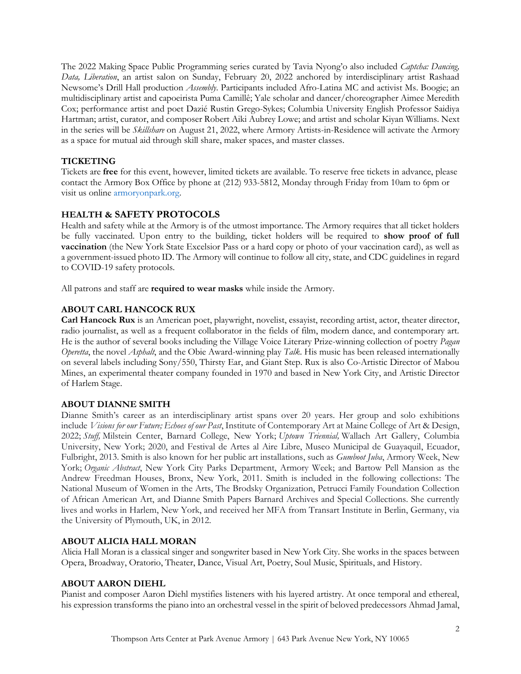The 2022 Making Space Public Programming series curated by Tavia Nyong'o also included *Captcha: Dancing, Data, Liberation*, an artist salon on Sunday, February 20, 2022 anchored by interdisciplinary artist Rashaad Newsome's Drill Hall production *Assembly*. Participants included Afro-Latina MC and activist Ms. Boogie; an multidisciplinary artist and capoeirista Puma Camillê; Yale scholar and dancer/choreographer Aimee Meredith Cox; performance artist and poet Dazié Rustin Grego-Sykes; Columbia University English Professor Saidiya Hartman; artist, curator, and composer Robert Aiki Aubrey Lowe; and artist and scholar Kiyan Williams. Next in the series will be *Skillshare* on August 21, 2022, where Armory Artists-in-Residence will activate the Armory as a space for mutual aid through skill share, maker spaces, and master classes.

# **TICKETING**

Tickets are **free** for this event, however, limited tickets are available. To reserve free tickets in advance, please contact the Armory Box Office by phone at (212) 933-5812, Monday through Friday from 10am to 6pm or visit us online armoryonpark.org.

# **HEALTH & SAFETY PROTOCOLS**

Health and safety while at the Armory is of the utmost importance. The Armory requires that all ticket holders be fully vaccinated. Upon entry to the building, ticket holders will be required to **show proof of full vaccination** (the New York State Excelsior Pass or a hard copy or photo of your vaccination card), as well as a government-issued photo ID. The Armory will continue to follow all city, state, and CDC guidelines in regard to COVID-19 safety protocols.

All patrons and staff are **required to wear masks** while inside the Armory.

## **ABOUT CARL HANCOCK RUX**

**Carl Hancock Rux** is an American poet, playwright, novelist, essayist, recording artist, actor, theater director, radio journalist, as well as a frequent collaborator in the fields of film, modern dance, and contemporary art. He is the author of several books including the Village Voice Literary Prize-winning collection of poetry *Pagan Operetta*, the novel *Asphalt*, and the Obie Award-winning play *Talk*. His music has been released internationally on several labels including Sony/550, Thirsty Ear, and Giant Step. Rux is also Co-Artistic Director of Mabou Mines, an experimental theater company founded in 1970 and based in New York City, and Artistic Director of Harlem Stage.

### **ABOUT DIANNE SMITH**

Dianne Smith's career as an interdisciplinary artist spans over 20 years. Her group and solo exhibitions include *Visions for our Future; Echoes of our Past*, Institute of Contemporary Art at Maine College of Art & Design, 2022; *Stuff,* Milstein Center, Barnard College, New York; *Uptown Triennial,* Wallach Art Gallery, Columbia University, New York; 2020, and Festival de Artes al Aire Libre, Museo Municipal de Guayaquil, Ecuador, Fulbright, 2013. Smith is also known for her public art installations, such as *Gumboot Juba*, Armory Week, New York; *Organic Abstract*, New York City Parks Department, Armory Week; and Bartow Pell Mansion as the Andrew Freedman Houses, Bronx, New York, 2011. Smith is included in the following collections: The National Museum of Women in the Arts, The Brodsky Organization, Petrucci Family Foundation Collection of African American Art, and Dianne Smith Papers Barnard Archives and Special Collections. She currently lives and works in Harlem, New York, and received her MFA from Transart Institute in Berlin, Germany, via the University of Plymouth, UK, in 2012.

### **ABOUT ALICIA HALL MORAN**

Alicia Hall Moran is a classical singer and songwriter based in New York City. She works in the spaces between Opera, Broadway, Oratorio, Theater, Dance, Visual Art, Poetry, Soul Music, Spirituals, and History.

### **ABOUT AARON DIEHL**

Pianist and composer Aaron Diehl mystifies listeners with his layered artistry. At once temporal and ethereal, his expression transforms the piano into an orchestral vessel in the spirit of beloved predecessors Ahmad Jamal,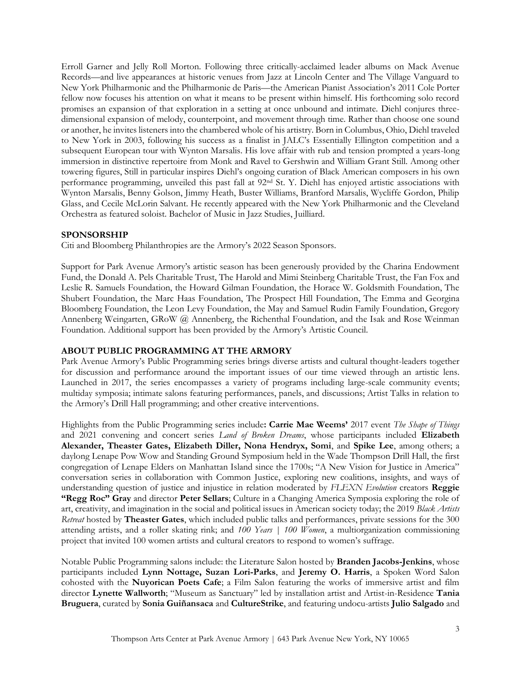Erroll Garner and Jelly Roll Morton. Following three critically-acclaimed leader albums on Mack Avenue Records—and live appearances at historic venues from Jazz at Lincoln Center and The Village Vanguard to New York Philharmonic and the Philharmonie de Paris—the American Pianist Association's 2011 Cole Porter fellow now focuses his attention on what it means to be present within himself. His forthcoming solo record promises an expansion of that exploration in a setting at once unbound and intimate. Diehl conjures threedimensional expansion of melody, counterpoint, and movement through time. Rather than choose one sound or another, he invites listeners into the chambered whole of his artistry. Born in Columbus, Ohio, Diehl traveled to New York in 2003, following his success as a finalist in JALC's Essentially Ellington competition and a subsequent European tour with Wynton Marsalis. His love affair with rub and tension prompted a years-long immersion in distinctive repertoire from Monk and Ravel to Gershwin and William Grant Still. Among other towering figures, Still in particular inspires Diehl's ongoing curation of Black American composers in his own performance programming, unveiled this past fall at 92nd St. Y. Diehl has enjoyed artistic associations with Wynton Marsalis, Benny Golson, Jimmy Heath, Buster Williams, Branford Marsalis, Wycliffe Gordon, Philip Glass, and Cecile McLorin Salvant. He recently appeared with the New York Philharmonic and the Cleveland Orchestra as featured soloist. Bachelor of Music in Jazz Studies, Juilliard.

#### **SPONSORSHIP**

Citi and Bloomberg Philanthropies are the Armory's 2022 Season Sponsors.

Support for Park Avenue Armory's artistic season has been generously provided by the Charina Endowment Fund, the Donald A. Pels Charitable Trust, The Harold and Mimi Steinberg Charitable Trust, the Fan Fox and Leslie R. Samuels Foundation, the Howard Gilman Foundation, the Horace W. Goldsmith Foundation, The Shubert Foundation, the Marc Haas Foundation, The Prospect Hill Foundation, The Emma and Georgina Bloomberg Foundation, the Leon Levy Foundation, the May and Samuel Rudin Family Foundation, Gregory Annenberg Weingarten, GRoW @ Annenberg, the Richenthal Foundation, and the Isak and Rose Weinman Foundation. Additional support has been provided by the Armory's Artistic Council.

### **ABOUT PUBLIC PROGRAMMING AT THE ARMORY**

Park Avenue Armory's Public Programming series brings diverse artists and cultural thought-leaders together for discussion and performance around the important issues of our time viewed through an artistic lens. Launched in 2017, the series encompasses a variety of programs including large-scale community events; multiday symposia; intimate salons featuring performances, panels, and discussions; Artist Talks in relation to the Armory's Drill Hall programming; and other creative interventions.

Highlights from the Public Programming series include**: Carrie Mae Weems'** 2017 event *The Shape of Things* and 2021 convening and concert series *Land of Broken Dreams*, whose participants included **Elizabeth Alexander, Theaster Gates, Elizabeth Diller, Nona Hendryx, Somi**, and **Spike Lee**, among others; a daylong Lenape Pow Wow and Standing Ground Symposium held in the Wade Thompson Drill Hall, the first congregation of Lenape Elders on Manhattan Island since the 1700s; "A New Vision for Justice in America" conversation series in collaboration with Common Justice, exploring new coalitions, insights, and ways of understanding question of justice and injustice in relation moderated by *FLEXN Evolution* creators **Reggie "Regg Roc" Gray** and director **Peter Sellars**; Culture in a Changing America Symposia exploring the role of art, creativity, and imagination in the social and political issues in American society today; the 2019 *Black Artists Retreat* hosted by **Theaster Gates**, which included public talks and performances, private sessions for the 300 attending artists, and a roller skating rink; and *100 Years | 100 Women*, a multiorganization commissioning project that invited 100 women artists and cultural creators to respond to women's suffrage.

Notable Public Programming salons include: the Literature Salon hosted by **Branden Jacobs-Jenkins**, whose participants included **Lynn Nottage, Suzan Lori-Parks**, and **Jeremy O. Harris**, a Spoken Word Salon cohosted with the **Nuyorican Poets Cafe**; a Film Salon featuring the works of immersive artist and film director **Lynette Wallworth**; "Museum as Sanctuary" led by installation artist and Artist-in-Residence **Tania Bruguera**, curated by **Sonia Guiñansaca** and **CultureStrike**, and featuring undocu-artists **Julio Salgado** and